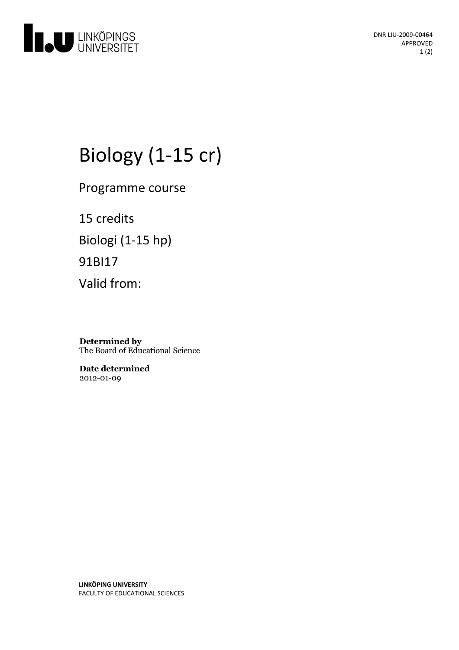

DNR LIU-2009-00464 APPROVED 1 (2)

# Biology (1-15 cr)

Programme course

15 credits Biologi (1-15 hp) 91BI17 Valid from:

**Determined by** The Board of Educational Science

**Date determined** 2012-01-09